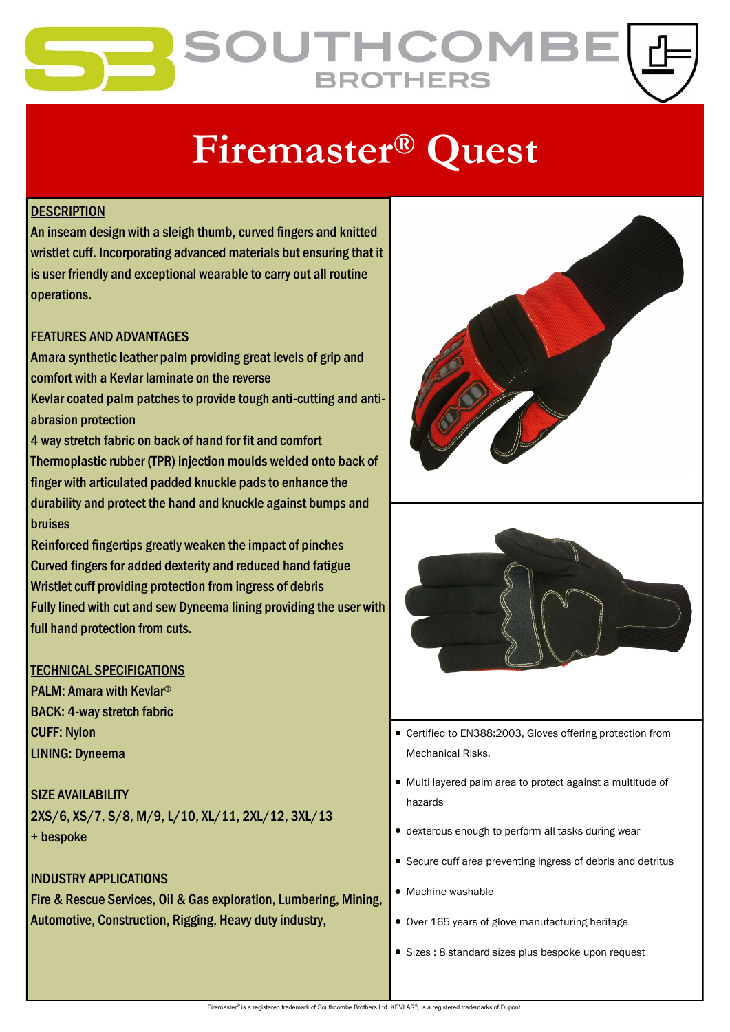## **OUTHCOMI BROTHERS**

# **Firemaster® Quest**

#### **DESCRIPTION**

An inseam design with a sleigh thumb, curved fingers and knitted wristlet cuff. Incorporating advanced materials but ensuring that it is user friendly and exceptional wearable to carry out all routine operations.

#### FEATURES AND ADVANTAGES

Amara synthetic leather palm providing great levels of grip and comfort with a Kevlar laminate on the reverse Kevlar coated palm patches to provide tough anti-cutting and antiabrasion protection

4 way stretch fabric on back of hand for fit and comfort Thermoplastic rubber (TPR) injection moulds welded onto back of finger with articulated padded knuckle pads to enhance the durability and protect the hand and knuckle against bumps and bruises

Reinforced fingertips greatly weaken the impact of pinches Curved fingers for added dexterity and reduced hand fatigue Wristlet cuff providing protection from ingress of debris Fully lined with cut and sew Dyneema lining providing the user with full hand protection from cuts.

#### TECHNICAL SPECIFICATIONS

PALM: Amara with Kevlar® BACK: 4-way stretch fabric CUFF: Nylon LINING: Dyneema

**SIZE AVAILABILITY** 2XS/6, XS/7, S/8, M/9, L/10, XL/11, 2XL/12, 3XL/13 + bespoke

#### INDUSTRY APPLICATIONS

Fire & Rescue Services, Oil & Gas exploration, Lumbering, Mining, Automotive, Construction, Rigging, Heavy duty industry,





- Certified to EN388:2003, Gloves offering protection from Mechanical Risks.
- Multi layered palm area to protect against a multitude of hazards
- dexterous enough to perform all tasks during wear
- Secure cuff area preventing ingress of debris and detritus
- Machine washable
- Over 165 years of glove manufacturing heritage
- Sizes : 8 standard sizes plus bespoke upon request